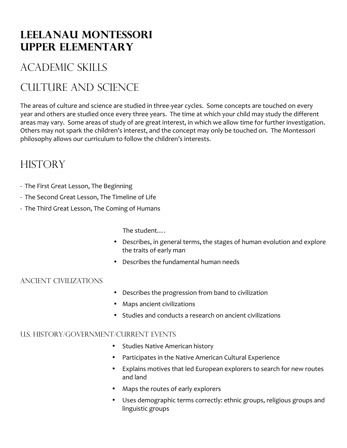# **Leelanau Montessori Upper elementary**

# Academic skills

# Culture and science

The areas of culture and science are studied in three-year cycles. Some concepts are touched on every year and others are studied once every three years. The time at which your child may study the different areas may vary. Some areas of study of are great interest, in which we allow time for further investigation. Others may not spark the children's interest, and the concept may only be touched on. The Montessori philosophy allows our curriculum to follow the children's interests. 

# **HISTORY**

- The First Great Lesson, The Beginning
- The Second Great Lesson, The Timeline of Life
- The Third Great Lesson, The Coming of Humans

 The student….

- Describes, in general terms, the stages of human evolution and explore the traits of early man
- Describes the fundamental human needs

### Ancient Civilizations

- Describes the progression from band to civilization
- Maps ancient civilizations
- Studies and conducts a research on ancient civilizations

### U.S. History/Government/Current Events

- Studies Native American history
- Participates in the Native American Cultural Experience
- Explains motives that led European explorers to search for new routes and land
- Maps the routes of early explorers
- Uses demographic terms correctly: ethnic groups, religious groups and linguistic groups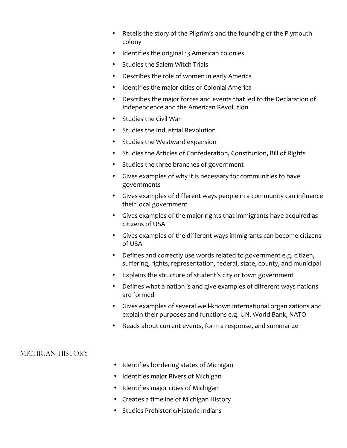- Retells the story of the Pilgrim's and the founding of the Plymouth colony
- Identifies the original 13 American colonies
- Studies the Salem Witch Trials
- Describes the role of women in early America
- Identifies the major cities of Colonial America
- Describes the major forces and events that led to the Declaration of Independence and the American Revolution
- Studies the Civil War
- Studies the Industrial Revolution
- Studies the Westward expansion
- Studies the Articles of Confederation, Constitution, Bill of Rights
- Studies the three branches of government
- Gives examples of why it is necessary for communities to have governments
- Gives examples of different ways people in a community can influence their local government
- Gives examples of the major rights that immigrants have acquired as citizens of USA
- Gives examples of the different ways immigrants can become citizens of USA
- Defines and correctly use words related to government e.g. citizen, suffering, rights, representation, federal, state, county, and municipal
- Explains the structure of student's city or town government
- Defines what a nation is and give examples of different ways nations are formed
- Gives examples of several well-known international organizations and explain their purposes and functions e.g. UN, World Bank, NATO
- Reads about current events, form a response, and summarize

#### Michigan History

- Identifies bordering states of Michigan
- Identifies major Rivers of Michigan
- Identifies major cities of Michigan
- Creates a timeline of Michigan History
- Studies Prehistoric/Historic Indians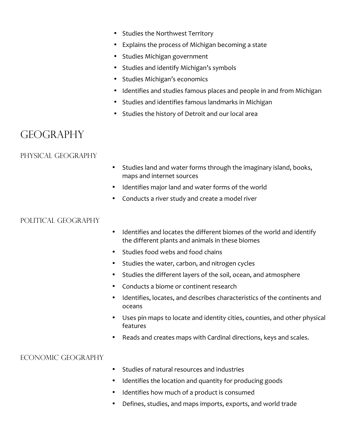- Studies the Northwest Territory
- Explains the process of Michigan becoming a state
- Studies Michigan government
- Studies and identify Michigan's symbols
- Studies Michigan's economics
- Identifies and studies famous places and people in and from Michigan
- Studies and identifies famous landmarks in Michigan
- Studies the history of Detroit and our local area

## **GEOGRAPHY**

### Physical Geography

- Studies land and water forms through the imaginary island, books, maps and internet sources
- Identifies major land and water forms of the world
- Conducts a river study and create a model river

#### POLITICAL GEOGRAPHY

- Identifies and locates the different biomes of the world and identify the different plants and animals in these biomes
- Studies food webs and food chains
- Studies the water, carbon, and nitrogen cycles
- Studies the different layers of the soil, ocean, and atmosphere
- Conducts a biome or continent research
- Identifies, locates, and describes characteristics of the continents and oceans
- Uses pin maps to locate and identity cities, counties, and other physical features
- Reads and creates maps with Cardinal directions, keys and scales.

#### Economic Geography

- Studies of natural resources and industries
- Identifies the location and quantity for producing goods
- Identifies how much of a product is consumed
- Defines, studies, and maps imports, exports, and world trade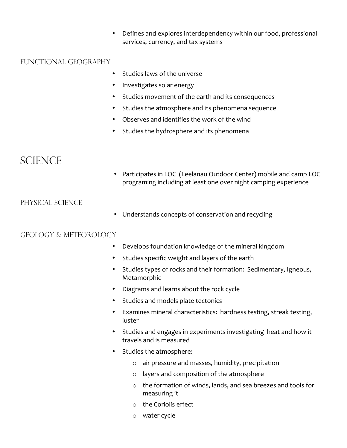• Defines and explores interdependency within our food, professional services, currency, and tax systems

#### Functional Geography

- Studies laws of the universe
- Investigates solar energy
- Studies movement of the earth and its consequences
- Studies the atmosphere and its phenomena sequence
- Observes and identifies the work of the wind
- Studies the hydrosphere and its phenomena

## **SCIENCE**

• Participates in LOC (Leelanau Outdoor Center) mobile and camp LOC programing including at least one over night camping experience

#### Physical Science

• Understands concepts of conservation and recycling

#### Geology & Meteorology

- Develops foundation knowledge of the mineral kingdom
- Studies specific weight and layers of the earth
- Studies types of rocks and their formation: Sedimentary, Igneous, Metamorphic
- Diagrams and learns about the rock cycle
- Studies and models plate tectonics
- Examines mineral characteristics: hardness testing, streak testing, luster
- Studies and engages in experiments investigating heat and how it travels and is measured
- Studies the atmosphere:
	- o air pressure and masses, humidity, precipitation
	- o layers and composition of the atmosphere
	- o the formation of winds, lands, and sea breezes and tools for measuring it
	- o the Coriolis effect
	- o water cycle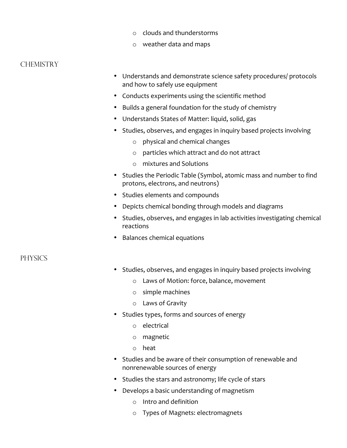- o clouds and thunderstorms
- o weather data and maps

#### **CHEMISTRY**

- Understands and demonstrate science safety procedures/ protocols and how to safely use equipment
- Conducts experiments using the scientific method
- Builds a general foundation for the study of chemistry
- Understands States of Matter: liquid, solid, gas
- Studies, observes, and engages in inquiry based projects involving
	- o physical and chemical changes
	- o particles which attract and do not attract
	- o mixtures and Solutions
- Studies the Periodic Table (Symbol, atomic mass and number to find protons, electrons, and neutrons)
- Studies elements and compounds
- Depicts chemical bonding through models and diagrams
- Studies, observes, and engages in lab activities investigating chemical reactions
- Balances chemical equations

#### **PHYSICS**

- Studies, observes, and engages in inquiry based projects involving
	- o Laws of Motion: force, balance, movement
	- o simple machines
	- o Laws of Gravity
- Studies types, forms and sources of energy
	- o electrical
	- o magnetic
	- o heat
- Studies and be aware of their consumption of renewable and nonrenewable sources of energy
- Studies the stars and astronomy; life cycle of stars
- Develops a basic understanding of magnetism
	- o Intro and definition
	- o Types of Magnets: electromagnets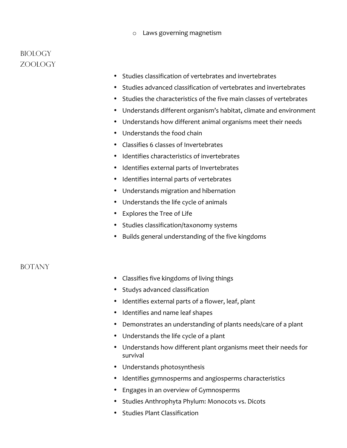#### o Laws governing magnetism

### Biology Zoology

- Studies classification of vertebrates and invertebrates
- Studies advanced classification of vertebrates and invertebrates
- Studies the characteristics of the five main classes of vertebrates
- Understands different organism's habitat, climate and environment
- Understands how different animal organisms meet their needs
- Understands the food chain
- Classifies 6 classes of Invertebrates
- Identifies characteristics of invertebrates
- Identifies external parts of Invertebrates
- Identifies internal parts of vertebrates
- Understands migration and hibernation
- Understands the life cycle of animals
- Explores the Tree of Life
- Studies classification/taxonomy systems
- Builds general understanding of the five kingdoms

#### **BOTANY**

- Classifies five kingdoms of living things
- Studys advanced classification
- Identifies external parts of a flower, leaf, plant
- Identifies and name leaf shapes
- Demonstrates an understanding of plants needs/care of a plant
- Understands the life cycle of a plant
- Understands how different plant organisms meet their needs for survival
- Understands photosynthesis
- Identifies gymnosperms and angiosperms characteristics
- Engages in an overview of Gymnosperms
- Studies Anthrophyta Phylum: Monocots vs. Dicots
- Studies Plant Classification